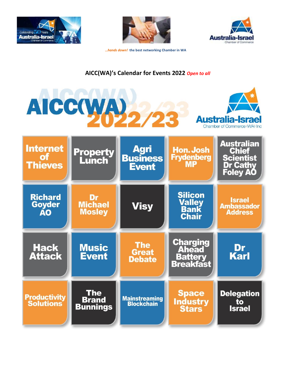



**Australia-Israe** 

 *…hands down!* **the best networking Chamber in WA**

# **AICC(WA)'s Calendar for Events 2022** *Open to all*

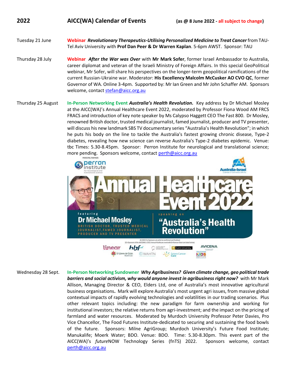## **2022 AICC(WA) Calendar of Events (as @ 8 June 2022 - all subject to change)**

- Tuesday 21 June **Webinar** *Revolutionary Therapeutics-Utilising Personalized Medicine to Treat Cancer* from TAU-Tel Aviv University with **Prof Dan Peer & Dr Warren Kaplan**. 5-6pm AWST. Sponsor: TAU
- Thursday 28 July **Webinar** *After the War was Over* with **Mr Mark Sofer**, former Israel Ambassador to Australia, career diplomat and veteran of the Israeli Ministry of Foreign Affairs. In this special GeoPolitical webinar, Mr Sofer, will share his perspectives on the longer-term geopolitical ramifications of the current Russian-Ukraine war. Moderator: **His Excellency Malcolm McCusker AO CVO QC**, former Governor of WA. Online 3-4pm. Supported by: Mr Ian Green and Mr John Schaffer AM. Sponsors welcome, contact [stefan@aicc.org.au](mailto:stefan@aicc.org.au)
- Thursday 25 August **In-Person Networking Event** *Australia's Health Revolution.* Key address by Dr Michael Mosley at the AICC(WA)'s Annual Healthcare Event 2022, moderated by Professor Fiona Wood AM FRCS FRACS and introduction of key note speaker by Ms Calypso Haggett CEO The Fast 800. Dr Mosley, renowned British doctor, trusted medical journalist, famed journalist, producer and TV presenter, will discuss his new landmark SBS TV documentary series "Australia's Health Revolution"; in which he puts his body on the line to tackle the Australia's fastest growing chronic disease, Type-2 diabetes, revealing how new science can reverse Australia's Type-2 diabetes epidemic. Venue: tbc Times: 5.30-8.45pm. Sponsor: Perron Institute for neurological and translational science; more pending. Sponsors welcome, contact perth@aicc.org.au



Wednesday 28 Sept. **In-Person Networking Sundowner** *Why Agribusiness? Given climate change, geo political trade barriers and social activism, why would anyone invest in agribusiness right now?* with Mr Mark Allison, Managing Director & CEO, Elders Ltd, one of Australia's most innovative agricultural business organisations**.** Mark will explore Australia's most urgent agri issues, from massive global contextual impacts of rapidly evolving technologies and volatilities in our trading scenarios. Plus other relevant topics including: the new paradigm for farm ownership and working for institutional investors; the relative returns from agri-investment; and the impact on the pricing of farmland and water resources. Moderated by Murdoch University Professor Peter Davies, Pro Vice Chancellor, The Food Futures Institute-dedicated to securing and sustaining the food bowls of the future. Sponsors: Milne AgriGroup; Murdoch University's Future Food Institute; Manukalife; Moerk Water; BDO. Venue: BDO. Time: 5.30-8.30pm. This event part of the AICC(WA)'s *future*NOW Technology Series (fnTS) 2022. Sponsors welcome, contact [perth@aicc.org.au](mailto:perth@aicc.org.au)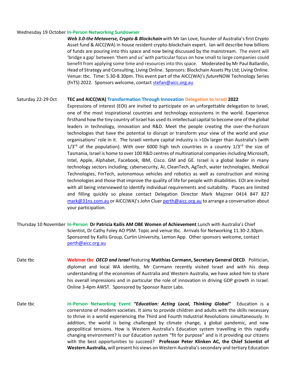#### Wednesday 19 October **In-Person Networking Sundowner**

*Web 3.0-the Metaverse, Crypto & Blockchain* with Mr Ian Love, founder of Australia's first Crypto Asset fund & AICC(WA) in house resident crypto-blockchain expert. Ian will describe how billions of funds are pouring into this space and now being discussed by the mainstream. The event will 'bridge a gap' between 'them and us' with particular focus on how small to large companies could benefit from applying some time and resources into this space. Moderated by Mr Paul Ballardin, Head of Strategy and Consulting, Living Online. Sponsors: Blockchain Assets Pty Ltd; Living Online. Venue: tbc. Time: 5.30-8.30pm. This event part of the AICC(WA)'s *future*NOW Technology Series (fnTS) 2022. Sponsors welcome, contact stefan@aicc.org.au

#### Saturday 22-29 Oct **TEC and AICC(WA) Transformation Through Innovation Delegation to Israel 2022**

Expressions of interest (EOI) are invited to participate on an unforgettable delegation to Israel, one of the most inspirational countries and technology ecosystems in the world. Experience firsthand how the tiny country of Israel has used its intellectual capital to become one of the global leaders in technology, innovation and R&D. Meet the people creating the over-the-horizon technologies that have the potential to disrupt or transform your view of the world and your organisations' role in it. The Israeli venture capital industry is >10x larger than Australia's (with  $1/3^{rd}$  of the population). With over 6000 high tech countries in a country  $1/3^{rd}$  the size of Tasmania, Israel is home to over 100 R&D centres of multinational companies including Microsoft, Intel, Apple, Alphabet, Facebook, IBM, Cisco. GM and GE. Israel is a global leader in many technology sectors including; cybersecurity, AI, CleanTech, AgTech, water technologies, Medical Technologies, FinTech, autonomous vehicles and robotics as well as construction and mining technologies and those that improve the quality of life for people with disabilities. EOI are invited with all being interviewed to identify individual requirements and suitability. Places are limited and filling quickly so please contact Delegation Director Mark Majzner 0414 847 827 [mark@31ns.com.au](mailto:mark@31ns.com.au) or AICC(WA)'s John Cluer [perth@aicc.org.au](mailto:perth@aicc.org.au) to arrange a conversation about your participation.

- Thursday 10 November **In-Person****Dr Patricia Kailis AM OBE Women of Achievement** Lunch with Australia's Chief Scientist, Dr Cathy Foley AO PSM. Topic and venue tbc. Arrivals for Networking 11.30-2.30pm. Sponsored by Kailis Group, Curtin University, Lemon App. Other sponsors welcome, contact [perth@aicc.org.au](mailto:perth@aicc.org.au)
- Date tbc **Webinar tbc** *OECD and Israel* featuring **Matthias Cormann, Secretary General OECD**. Politician, diplomat and local WA identity, Mr Cormann recently visited Israel and with his deep understanding of the economies of Australia and Western Australia, we have asked him to share his overall impressions and in particular the role of innovation in driving GDP growth in Israel. Online 3-4pm AWST. Sponsored by Sponsor Razor Labs.
- Date tbc **In-Person Networking Event** *"Education: Acting Local, Thinking Global"* Education is a cornerstone of modern societies. It aims to provide children and adults with the skills necessary to thrive in a world experiencing the Third and Fourth Industrial Revolutions simultaneously. In addition, the world is being challenged by climate change, a global pandemic, and new geopolitical tensions. How is Western Australia's Education system travelling in this rapidly changing environment? Is our Education system "fit for purpose" and is it providing our citizens with the best opportunities to succeed? **Professor Peter Klinken AC, the Chief Scientist of Western Australia,** will present his views on Western Australia's secondary and tertiary Education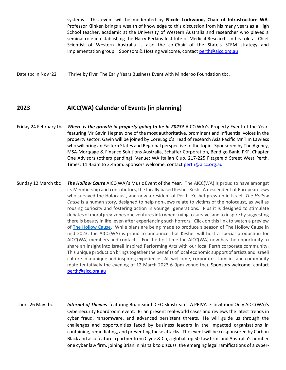systems. This event will be moderated by **Nicole Lockwood, Chair of Infrastructure WA**. Professor Klinken brings a wealth of knowledge to this discussion from his many years as a High School teacher, academic at the University of Western Australia and researcher who played a seminal role in establishing the Harry Perkins Institute of Medical Research. In his role as Chief Scientist of Western Australia is also the co-Chair of the State's STEM strategy and Implementation group. Sponsors & Hosting welcome, contact [perth@aicc.org.au](mailto:perth@aicc.org.au)

Date tbc in Nov '22 <sup>'</sup>Thrive by Five' The Early Years Business Event with Minderoo Foundation tbc.

### **2023 AICC(WA) Calendar of Events (in planning)**

- Friday 24 February tbc *Where is the growth in property going to be in 2023?* AICC(WA)'s Property Event of the Year, featuring Mr Gavin Hegney one of the most authoritative, prominent and influential voices in the property sector. Gavin will be joined by CoreLogic's Head of research Asia Pacific Mr Tim Lawless who will bring an Eastern States and Regional perspective to the topic. Sponsored by The Agency, MSA-Mortgage & Finance Solutions Australia, Schaffer Corporation, Bendigo Bank, PKF, Chapter One Advisors (others pending). Venue: WA Italian Club, 217-225 Fitzgerald Street West Perth. Times: 11.45am to 2.45pm*.* Sponsors welcome, contact [perth@aicc.org.au](mailto:perth@aicc.org.au)
- Sunday 12 March tbc *The Hollow Cause* AICC(WA)'s Music Event of the Year**.** The AICC(WA) is proud to have amongst its Membership and contributors, the locally based Keshet Kesh. A descendent of European Jews who survived the Holocaust, and now a resident of Perth, Keshet grew up in Israel. *The Hollow Cause* is a human story, designed to help non-Jews relate to victims of the holocaust, as well as rousing curiosity and fostering action in younger generations. Plus it is designed to stimulate debates of moral grey-zones one ventures into when trying to survive, and to inspire by suggesting there is beauty in life, even after experiencing such horrors. Click on this link to watch a preview of [The Hollow Cause.](https://www.youtube.com/watch?v=-zo0hblniTA&t=2s) While plans are being made to produce a season of The Hollow Cause in mid 2023, the AICC(WA) is proud to announce that Keshet will host a special production for AICC(WA) members and contacts. For the first time the AICC(WA) now has the opportunity to share an insight into Israeli inspired Performing Arts with our local Perth corporate community. This unique production brings together the benefits of local economic support of artists and Israeli culture in a unique and inspiring experience. All welcome, corporates, families and community (date tentatively the evening of 12 March 2023 6-9pm venue tbc). Sponsors welcome, contact [perth@aicc.org.au](mailto:perth@aicc.org.au)
- Thurs 26 May tbc *Internet of Thieves* featuring Brian Smith CEO Slipstream. A PRIVATE-Invitation Only AICC(WA)'s Cybersecurity Boardroom event. Brian present real-world cases and reviews the latest trends in cyber fraud, ransomware, and advanced persistent threats. He will guide us through the challenges and opportunities faced by business leaders in the impacted organisations in containing, remediating, and preventing these attacks. The event will be co sponsored by Carbon Black and also feature a partner from Clyde & Co, a global top 50 Law firm, and Australia's number one cyber law firm, joining Brian in his talk to discuss the emerging legal ramifications of a cyber-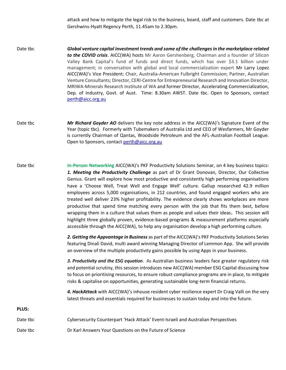attack and how to mitigate the legal risk to the business, board, staff and customers. Date tbc at Gershwins-Hyatt Regency Perth, 11.45am to 2.30pm.

- Date tbc *Global venture capital investment trends and some of the challenges in the marketplace related to the COVID crisis*. AICC(WA) hosts Mr Aaron Gershenberg, Chairman and a founder of Silicon Valley Bank Capital's fund of funds and direct funds, which has over \$3.1 billion under management; in conversation with global and local commercialization expert Mr Larry Lopez AICC(WA)'s Vice President; Chair, Australia-American Fulbright Commission; Partner, Australian Venture Consultants; Director, CERI-Centre for Entrepreneurial Research and Innovation Director, MRIWA-Minerals Research Institute of WA and former Director, Accelerating Commercialization, Dep. of Industry, Govt. of Aust. Time: 8.30am AWST. Date tbc. Open to Sponsors, contact [perth@aicc.org.au](mailto:perth@aicc.org.au)
- Date tbc *Mr Richard Goyder AO* delivers the key note address in the AICC(WA)'s Signature Event of the Year (topic tbc). Formerly with Tubemakers of Australia Ltd and CEO of Wesfarmers, Mr Goyder is currently Chairman of Qantas, Woodside Petroleum and the AFL-Australian Football League. Open to Sponsors, contact [perth@aicc.org.au](mailto:perth@aicc.org.au)
- Date tbc **In-Person Networking** AICC(WA)'s PKF Productivity Solutions Seminar, on 4 key business topics: *1. Meeting the Productivity Challenge* as part of Dr Grant Donovan, Director, Our Collective Genius. Grant will explore how most productive and consistently high performing organisations have a 'Choose Well, Treat Well and Engage Well' culture. Gallup researched 42.9 million employees across 5,000 organisations, in 212 countries, and found engaged workers who are treated well deliver 23% higher profitability. The evidence clearly shows workplaces are more productive that spend time matching every person with the job that fits them best, before wrapping them in a culture that values them as people and values their ideas**.** This session will highlight three globally proven, evidence-based programs & measurement platforms especially accessible through the AICC(WA), to help any organisation develop a high performing culture.

*2. Getting the Appvantage in Business* as part of the AICC(WA)'s PKF Productivity Solutions Series featuring Dinali David, multi award winning Managing Director of Lemmon App. She will provide an overview of the multiple productivity gains possible by using Apps in your business.

*3. Productivity and the ESG equation*. As Australian business leaders face greater regulatory risk and potential scrutiny, this session introduces new AICC(WA) member ESG Capital discussing how to focus on prioritising resources, to ensure robust compliance programs are in place, to mitigate risks & capitalise on opportunities, generating sustainable long-term financial returns.

*4. HackAttack* with AICC(WA)'s inhouse resident cyber resilience expert Dr Craig Valli on the very latest threats and essentials required for businesses to sustain today and into the future.

# **PLUS:**

Date tbc Cybersecurity Counterpart 'Hack Attack' Event-Israeli and Australian Perspectives Date tbc Dr Karl Answers Your Questions on the Future of Science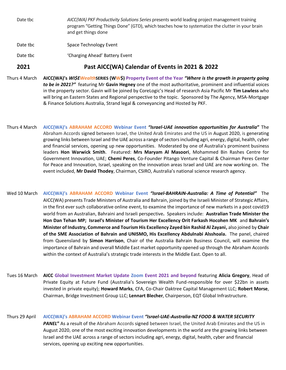Date tbc *AICC(WA) PKF Productivity Solutions Series* presents world leading project management training program "Getting Things Done" (GTD), which teaches how to systematize the clutter in your brain and get things done

Date tbc Space Technology Event

Date tbc **Charging Ahead' Battery Event** 

## **2021 Past AICC(WA) Calendar of Events in 2021 & 2022**

- Thurs 4 March **AICC(WA)'s** *WI\$EWealth***SERIES (WW\$) Property Event of the Year** *"Where is the growth in property going to be in 2021?"* featuring Mr **Gavin Hegney** one of the most authoritative, prominent and influential voices in the property sector. Gavin will be joined by CoreLogic's Head of research Asia Pacific Mr **Tim Lawless** who will bring an Eastern States and Regional perspective to the topic. Sponsored by The Agency, MSA-Mortgage & Finance Solutions Australia, Strand legal & conveyancing and Hosted by PKF.
- Thurs 4 March **AICC(WA)'s ABRAHAM ACCORD Webinar Event** *"Israel-UAE innovation opportunities for Australia***"** The Abraham Accords signed between Israel, the United Arab Emirates and the US in August 2020, is generating growing links between Israel and the UAE across a range of sectors including agri, energy, digital, health, cyber and financial services, opening up new opportunities. Moderated by one of Australia's prominent business leaders **Hon Warwick Smith**. Featured: **Mrs Maryam Al Masoori**, Mohammed Bin Rashes Centre for Government Innovation, UAE; **Chemi Peres**, Co-Founder Pitango Venture Capital & Chairman Peres Center for Peace and Innovation, Israel, speaking on the innovation areas Israel and UAE are now working on. The event included, **Mr David Thodey**, Chairman, CSIRO, Australia's national science research agency.
- Wed 10 March **AICC(WA)'s ABRAHAM ACCORD Webinar Event** *"Israel-BAHRAIN-Australia: A Time of Potential"* The AICC(WA) presents Trade Ministers of Australia and Bahrain, joined by the Israeli Minister of Strategic Affairs, in the first ever such collaborative online event, to examine the importance of new markets in a post covid19 world from an Australian, Bahraini and Israeli perspective*.* Speakers include: **Australian Trade Minister the Hon Dan Tehan MP; Israel's Minister of Tourism Her Excellency Orit Farkash Hocohen MK** and **Bahrain's Minister of Industry, Commerce and Tourism His Excellency Zayed bin Rashid Al Zayani,** also joined by **Chair of the SME Association of Bahrain and UNISMO, His Excellency Abdulnabi Alsshoala.** The panel, chaired from Queensland by **Simon Harrison**, Chair of the Australia Bahrain Business Council, will examine the importance of Bahrain and overall Middle East market opportunity opened up through the Abraham Accords within the context of Australia's strategic trade interests in the Middle East. Open to all.
- Tues 16 March **AICC Global Investment Market Update Zoom Event 2021 and beyond** featuring **Alicia Gregory**, Head of Private Equity at Future Fund (Australia's Sovereign Wealth Fund-responsible for over \$22bn in assets invested in private equity); **Howard Marks**, CFA, Co-Chair Oaktree Capital Management LLC; **Robert Morse**, Chairman, Bridge Investment Group LLC; **Lennart Blecher**, Chairperson, EQT Global Infrastructure.
- Thurs 29 April **AICC(WA)'s ABRAHAM ACCORD Webinar Event** *"Israel-UAE-Australia-NZ FOOD & WATER SECURITY PANEL***"** As a result of the Abraham Accords signed between Israel, the United Arab Emirates and the US in August 2020, one of the most exciting innovation developments in the world are the growing links between Israel and the UAE across a range of sectors including agri, energy, digital, health, cyber and financial services, opening up exciting new opportunities.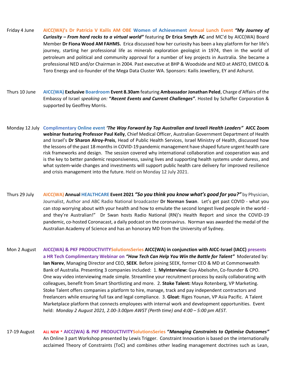- Friday 4 June **AICC(WA)'s Dr Patricia V Kailis AM OBE Women of Achievement Annual Lunch Event** *"My Journey of Curiosity – From hard rocks to a virtual world"* featuring **Dr Erica Smyth AC** and MC'd by AICC(WA) Board Member **Dr Fiona Wood AM FAHMS.** Erica discussed how her curiosity has been a key platform for her life's journey, starting her professional life as minerals exploration geologist in 1974, then in the world of petroleum and political and community approval for a number of key projects in Australia. She became a professional NED and/or Chairman in 2004. Past executive at BHP & Woodside and NED at ANSTO, EMECO & Toro Energy and co-founder of the Mega Data Cluster WA. Sponsors: Kailis Jewellery, EY and Ashurst.
- Thurs 10 June **AICC(WA) Exclusive Boardroom Event 8.30am** featuring **Ambassador Jonathan Peled**, Charge d'Affairs of the Embassy of Israel *speaking on:* **"***Recent Events and Current Challenges"*. Hosted by Schaffer Corporation & supported by Geoffrey Morris.
- Monday 12 July **Complimentary Online event** *'The Way Forward by Top Australian and Israeli Health Leaders"* **AICC Zoom webinar featuring Professor Paul Kelly**, Chief Medical Officer, Australian Government Department of Health and Israel's **Dr Sharon Alroy-Preis**, Head of Public Health Services, Israel Ministry of Health, discussed how the lessons of the past 18 months in COVID-19 pandemic management have shaped future urgent health care risk frameworks and design. The session covered why international collaboration and cooperation was and is the key to better pandemic responsiveness, saving lives and supporting health systems under duress, and what system-wide changes and investments will support public health care delivery for improved resilience and crisis management into the future. Held on Monday 12 July 2021.
- Thurs 29 July **AICC(WA) Annual HEALTHCARE Event 2021** *"So you think you know what's good for you?"* by Physician, Journalist, Author and ABC Radio National broadcaster **Dr Norman Swan**. Let's get past COVID - what you can stop worrying about with your health and how to emulate the second longest lived people in the world and they're Australian!" Dr Swan hosts Radio National (RN)'s Health Report and since the COVID-19 pandemic, co-hosted Coronacast, a daily podcast on the coronavirus. Norman was awarded the medal of the Australian Academy of Science and has an honorary MD from the University of Sydney.
- Mon 2 August **AICC(WA) & PKF PRODUCTIVITYSolutionsSeries AICC(WA) in conjunction with AICC-Israel (IACC) presents a HR Tech Complimentary Webinar on** *"How Tech Can Help You Win the Battle for Talent"* Moderated by: **Ian Narev**, Managing Director and CEO, **SEEK**. Before joining SEEK, former CEO & MD at Commonwealth Bank of Australia. Presenting 3 companies included: 1. **MyInterview:** Guy Abelsohn, Co-founder & CPO. One way video interviewing made simple. Streamline your recruitment process by easily collaborating with colleagues, benefit from Smart Shortlisting and more. 2. **Stoke Talent:** Maya Rotenberg, VP Marketing. Stoke Talent offers companies a platform to hire, manage, track and pay independent contractors and freelancers while ensuring full tax and legal compliance. 3. **Gloat**: Riges Younan, VP Asia Pacific. A Talent Marketplace platform that connects employees with internal work and development opportunities. Event held: *Monday 2 August 2021, 2.00-3.00pm AWST (Perth time) and 4:00 – 5:00 pm AEST.*
- 17-19 August **ALL NEW \* AICC(WA) & PKF PRODUCTIVITYSolutionsSeries "***Managing Constraints to Optimise Outcomes"* An Online 3 part Workshop presented by Lewis Trigger. Constraint Innovation is based on the internationally acclaimed Theory of Constraints (ToC) and combines other leading management doctrines such as Lean,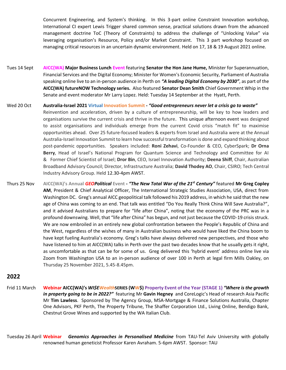Concurrent Engineering, and System's thinking. In this 3-part online Constraint Innovation workshop, International CI expert Lewis Trigger shared common sense, practical solutions drawn from the advanced management doctrine ToC (Theory of Constraints) to address the challenge of "Unlocking Value" via leveraging organisation's Resource, Policy and/or Market Constraint. This 3 part workshop focused on managing critical resources in an uncertain dynamic environment. Held on 17, 18 & 19 August 2021 online.

- Tues 14 Sept **AICC(WA) Major Business Lunch Event** featuring **Senator the Hon Jane Hume,** Minister for Superannuation, Financial Services and the Digital Economy; Minister for Women's Economic Security, Parliament of Australia speaking online live to an in-person audience in Perth on *"A leading Digital Economy by 2030"*, as part of the **AICC(WA) futureNOW Technology series.** Also featured **Senator Dean Smith** Chief Government Whip in the Senate and event moderator Mr Larry Lopez. Held: Tuesday 14 September at the Hyatt, Perth.
- Wed 20 Oct **Australia-Israel 2021 Virtual Innovation Summit -** *"Good entrepreneurs never let a crisis go to waste"* Reinvention and acceleration, driven by a culture of entrepreneurship, will be key to how leaders and organisations survive the current crisis and thrive in the future. This unique afternoon event was designed to assist organisations and individuals emerge from the current Covid crisis "match fit" to maximise opportunities ahead. Over 25 future-focused leaders & experts from Israel and Australia were at the Annual Australia-Israel Innovation Summit to learn how successful transformation is done and expand thinking about post-pandemic opportunities. Speakers included: **Roni Zehavi**, Co-Founder & CEO, CyberSpark; **Dr Orna Berry**, Head of Israel's National Program for Quantum Science and Technology and Committee for AI & Former Chief Scientist of Israel; **Dror Bin**, CEO, Israel Innovation Authority; **Deena Shiff**, Chair, Australian Broadband Advisory Council; Director, Infrastructure Australia; **David Thodey AO**, Chair, CSIRO; Tech Central Industry Advisory Group. Held 12.30-4pm AWST.
- Thurs 25 Nov **AICC(WA)'s Annual** *GEOPolitical* **Event -** *"The New Total War of the 21st Century"* featured **Mr Greg Copley AM**, President & Chief Analytical Officer, The International Strategic Studies Association, USA, direct from Washington DC. Greg's annual AICC geopolitical talk followed his 2019 address, in which he said that the new age of China was coming to an end. That talk was entitled "Do You Really Think China Will Save Australia?", and it advised Australians to prepare for "life after China", noting that the economy of the PRC was in a profound downswing. Well, that "life after China" has begun, and not just because the COVID-19 crisis struck. We are now embroiled in an entirely new global confrontation between the People's Republic of China and the West, regardless of the wishes of many in Australian business who would have liked the China boom to have kept fueling Australia's economy. Greg's talks have always delivered new perspectives, and those who have listened to him at AICC(WA) talks in Perth over the past two decades know that he usually gets it right, as uncomfortable as that can be for some of us. Greg delivered this 'hybrid event' address online live via Zoom from Washington USA to an in-person audience of over 100 in Perth at legal firm Mills Oakley, on Thursday 25 November 2021, 5.45-8.45pm.

### **2022**

Frid 11 March **Webinar AICC(WA)'s** *WI\$EWealth***SERIES (WW\$) Property Event of the Year (STAGE 1)** *"Where is the growth in property going to be in 2022?"* featuring Mr **Gavin Hegney** and CoreLogic's Head of research Asia Pacific Mr **Tim Lawless**. Sponsored by The Agency Group, MSA-Mortgage & Finance Solutions Australia, Chapter One Advisors, PKF Perth, The Property Tribune, The Shaffer Corporation Ltd., Living Online, Bendigo Bank, Chestnut Grove Wines and supported by the WA Italian Club.

Tuesday 26 April **Webinar** *Genomics Approaches in Personalised Medicine* from TAU-Tel Aviv University with globally renowned human geneticist Professor Karen Avraham. 5-6pm AWST. Sponsor: TAU